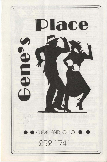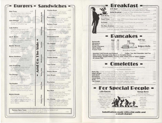## **Burgers - Sandwiches -**

Spuds

Special

Rings

Onion

Zucchini

Mushrooms

Fries

Home

es

匠

Curly

Fries

French

| <b>Dick Tracy</b>                  | 3.95  |            |
|------------------------------------|-------|------------|
| You don't have to be a detective   |       |            |
| to find the beef in this burger.   |       |            |
| Topped with American cheese        |       |            |
| John Dillinger                     | 525   |            |
| Smuggled onighs, swiped Swiss      |       |            |
| cheese, on hot grilled rue,        |       |            |
|                                    |       |            |
| Lady Godiva                        | 3.95  |            |
| A topless burger served with       |       |            |
| grilled onions, Swiss cheese,      |       |            |
| on a slice of grilled rue.         |       |            |
|                                    |       |            |
| Joe E. Brown                       | 3,05  |            |
| Open tuide for this one. Topped    |       |            |
| with Canadian bocog, mushrooms,    |       |            |
| and Sullss cheese                  |       |            |
|                                    |       |            |
| <b>Marilyn Monroe</b>              | 5.05. |            |
| Some like it hot! So we've         |       |            |
| seasoned this one with cajun       |       |            |
| spices, roosted peppers,           |       |            |
| and provolane.                     |       |            |
|                                    |       |            |
|                                    |       |            |
| <b>Benny Goodman</b>               | 3.75  |            |
| for the leader of the band         |       |            |
| topped with Finericon cheese       |       |            |
| and bacon.                         |       |            |
|                                    |       |            |
| <b>Jack Armstrong</b>              | π     |            |
| An All-American burger tapped      |       |            |
| with showed, onlied hom and        |       | and On The |
| Monterey Jock cheese               |       |            |
|                                    |       |            |
| The Zhivago.                       | 375   |            |
| Just what the dactor ordered       |       |            |
| Topped with antied mushrooms.      |       |            |
| real sour cream and chives.        |       |            |
|                                    |       |            |
|                                    |       |            |
| The Houdini                        | 3.95  |            |
| There's no escoping the great      |       |            |
| taste of this burger. Topped with  |       |            |
| Amerian cheese and mushrooms.      |       |            |
| Served on grilled sourclough bread |       |            |
| <b>Marlon Brando</b>               | 3.05  |            |
| This burger's a contender!         |       |            |
| Topped with sliced red onion,      |       |            |
| bocon and tomato. Served on a      |       |            |
| grilled sourdough bread with       |       |            |
| Swiss cheese.                      |       |            |
|                                    |       |            |
|                                    |       |            |
|                                    |       |            |
|                                    |       |            |

**Charles Bover** 4.95 A club croissant with shoved turkey, bocon, lettuce, tomoto ond mouonnoise. Gene Kelly 3.65 Tender siddin strips orilled with onions and mushrooms. Served in a seasoned hoogy roll. **Barbary Coast** 0.05 Shaved turkey breast, lettuce and tomato, piled high on whole wheat. Jackhammer  $-3.25$ Grilled shoved ham, tamata and Monterey Jock cheese on grilled dell rue. **Alfred Hitchcock**  $345$ Fresh Italian souscee, roosted peppers, onlons and spaghetti source on a kaiser roll 205 The Flapper Our own beer-bottered scrod deep fried and served on a kaiser roll George Raft  $395$ Shoved turkey, lettuce, tomoto and bacon piled high on a triple decker sondwich. **Tommy Dorsey** 2.95 A big bond favorite! A steak-um on a grilled hoaqu roll with onions. mushrooms and Swiss cheese. Lana Turner 285 A well built sonduich! Our triple. decker bocon, lettuce, tomoto and mayonnaise. Mickey Mouse 1.45 How simple, a grilled chaese.  $495$ John Wayne Alboneless broiled chicken breast served on a grilled kaiser roll with bacon, lettuce and tomata. Charleston 4.25 Breaded chicken tenders topped with fresh steamed braccoli cuts and cheddor. Served open-faced on a crilled English muffin. Mae West 4.95 A full-breasted, deep fried boneless chicken breast. American cheese, bocon and tomato, an. otilled sourdough bread. Lon Chaney 3.95 Choose a spicy chicken or steak failta, served on a warm arilled pita bread with anions, cheddar cheese, sour cream and salsa. breast of turkey, or meatloof with with apple source...

**A 95** 

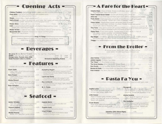## - Opening Acts -=

| Chicken Tenders - grims chicken tenders served with BBQ or sweet in sour source.                                                                                                                                                                                                                      | 305  |
|-------------------------------------------------------------------------------------------------------------------------------------------------------------------------------------------------------------------------------------------------------------------------------------------------------|------|
| Pizza Bites - solit french bread topped with spaghetti squce.<br>pepperoni and zestly provolone cheese the control of the control of the people of                                                                                                                                                    | 1:09 |
| Soups - served daily - hearty vegetable or ?<br>Boul 9                                                                                                                                                                                                                                                |      |
| Garlic Bread - on Italian roll orilled with garlic butter, then topped with zesty provolone cheese                                                                                                                                                                                                    |      |
|                                                                                                                                                                                                                                                                                                       |      |
| Chili - a steaming bowl of chili topped with checkiar cheese and sour cream.<br>served with a warm roll and butter the community of the served with a start of the                                                                                                                                    |      |
|                                                                                                                                                                                                                                                                                                       |      |
| Mozzarella Stix - Mozzarello cheese botter dipped and fried golden.<br>Served with side of squee with the content of the content of the content of the state of squeezing and the content of the content of the content of the content of the content of the content of the content of the content of | 3.01 |
|                                                                                                                                                                                                                                                                                                       |      |
| -Rings 'N Things-                                                                                                                                                                                                                                                                                     |      |
| Generous portion of crispy, deep fried vegetables like could ower, corrots.<br>onion rings, mushrooms, zurchini, green bears and rutobogo.<br>Piled high in on adible tottillo bould                                                                                                                  |      |

Served with the sauce on the side for dipping....

## - Beverages -

| <b>We serve ROYAL KONA® COFFEE</b> Coffee Tea load Tea (Free Befills)                                                                                                                                                                     |                                        | <b>THE REAL PROPERTY AND INCOME.</b> |        |
|-------------------------------------------------------------------------------------------------------------------------------------------------------------------------------------------------------------------------------------------|----------------------------------------|--------------------------------------|--------|
| <b>Sodas:</b> Coke Diet Coke Sprite Oronge <b>Company Company Contract Contract Contract Contract Contract Contract Contract Contract Contract Contract Contract Contract Contract Contract Contract Contract Contract Contract Contr</b> |                                        |                                      |        |
| Orange Juice, Tomato Juice, Milk                                                                                                                                                                                                          | Small 70 Lorge 85                      |                                      |        |
| Soda Fountain Coke in a Bottle                                                                                                                                                                                                            | <b>Breezers &amp; Sparkling Waters</b> |                                      | $-125$ |

#### **Features -**

Includes rolls and butter, and a chaice of two: potato, rice pilat, cup of soup, salad or broccoli cuts.

| <b>Clark Gable</b><br><u> 1958 - Johann Marie Hammeln, 5,05</u><br>A real "hunk" of ald foshioned meatloof.<br>"Frankly, it's great." | Hum<br>Αt<br>sho      |
|---------------------------------------------------------------------------------------------------------------------------------------|-----------------------|
| Gary Cooper 5.95<br>A great piece of liver grilled with anions<br>and a piece of bacon.                                               | CICK<br>Laur<br>hti   |
| 5.95<br><b>Jimmy Stewart</b><br>9 oz. chopped sirloin topped with grilled<br>onions. Try it with two potato pancakes                  | tor<br>Guy<br>R۸      |
| Duke Ellington 595<br>An oldie but goodie; honey dipped fried<br>chicken Bones and All                                                | CO<br>W.C<br>R.<br>mi |

phrey Bogart 645 boneless chicken breast wrapped around twed ham and swiss cheese, botter dipped d fried golden

4.45

rel and Hardy 5.95 o stuffed cobbage rolls cooked in rich and sauce and topped with saverkrout.

Lombardo 645 set of breaded pork chops, lightly seasoned digrilled to order

Fields 5.95 penerous portion of roost beef with shrooms and grow.

7.95

7.95

7.95

# $=$  Seafood  $=$

| Esther Williams 695<br>Light, flaky scrod broiled in torragon butter<br>with almonds and fine bread crumbs. |      | Captain Nemo<br>Loke Ene perch, lightly breaded and<br>deep tried golden.             |
|-------------------------------------------------------------------------------------------------------------|------|---------------------------------------------------------------------------------------|
| Howard Hughes 625<br>Enjoy the great taste of our famous                                                    |      | <b>Captain Hook</b><br>and the Windows Indian come<br>Eive golden fried jumbo shrimp. |
| beer-bottered scrool.                                                                                       |      | <b>Lloyd Bridges</b>                                                                  |
| <b>Mickey Rooney</b><br>Bosket of 21 deep fried golden shrimp.                                              | 5.95 | A floky 8 oz. North Pocific holibut steok<br>broiled in tarragon butter.              |

### - A Fare for the Heart -

| Charlie Chan - Choice of steak, chicken or pork strips, served with                                                                                                                                     |                                                                                                                           |               |
|---------------------------------------------------------------------------------------------------------------------------------------------------------------------------------------------------------|---------------------------------------------------------------------------------------------------------------------------|---------------|
| crisp vegetables, salad and rice pilaf.                                                                                                                                                                 |                                                                                                                           | 5.95          |
| Fresh Tossed Green Salad - Served with dressing and a dinner roll.                                                                                                                                      |                                                                                                                           | 175           |
| Olive Oyl - A cup of hot soup and fresh green salod with low-cal dressing and crackers.                                                                                                                 |                                                                                                                           | 2.50          |
| Pasta Salad - Fresh vegetables and chunks of tung fish tossed with spiral postal<br>and a special dressing. Served with a bran ar blueberry muffin                                                      |                                                                                                                           | 4.50          |
| Frisco Salad - Nixed greens topped with tender pieces of chicken.<br>sliced hard-boiled eggs, tomatoes, cucumbers, cheddar cheese and walnuts.                                                          |                                                                                                                           | 4.25          |
| Tina Tuna - Crisp greens served with a scoop of fresh tuno salad, tomatoes and cucumbers.                                                                                                               |                                                                                                                           | 3.95          |
| Gypsy Rose - A real waist watcher. Souteed strips of sirloin steak on a bed of<br>msp greens, tamato, cucumber, and shredded cheddar<br>Served with a bran or blueberry muffin, and choice of dressing. |                                                                                                                           | 4.25          |
| Ray Bolger - To help you get os skinny as a scorecrow. Fresh spinach, sliced mushrooms,<br>hard-bailed eggs, red onions, tamata and bacon, with choice of dressing                                      |                                                                                                                           | 365           |
| Twiggy - 6 oz. broiled chopped steak, cottage cheese, tomato slices and a hard bailed eqq.                                                                                                              |                                                                                                                           | 4.95          |
|                                                                                                                                                                                                         |                                                                                                                           |               |
|                                                                                                                                                                                                         |                                                                                                                           |               |
|                                                                                                                                                                                                         | <b>From the Broiler</b>                                                                                                   |               |
|                                                                                                                                                                                                         |                                                                                                                           |               |
|                                                                                                                                                                                                         | All broiler dinners include rolls, butter, and choice of two.<br>salad, potato, rice pilof, cup of soup or broccoli cuts. |               |
|                                                                                                                                                                                                         |                                                                                                                           |               |
|                                                                                                                                                                                                         |                                                                                                                           | <b>Biglia</b> |
| Jean Harlow - Fi petite tenderloin.                                                                                                                                                                     |                                                                                                                           | 7.95          |
| James Cagney - A choice 7 oz. ribeue                                                                                                                                                                    |                                                                                                                           | 6.25          |
| The "Hoss" - A 12 oz. Boston cut strip.                                                                                                                                                                 |                                                                                                                           | 9.95          |
| The Great Gatsby - A full 1 to U.S.D.A. choice T-bone.                                                                                                                                                  |                                                                                                                           | 10.95         |
| Don Knotts - A 6 oz. boneless, skinless chicken breast                                                                                                                                                  |                                                                                                                           | 725           |
| Bonnie & Clyde - Our ribeye steak and deep-fried chicken tenders or shrimp.                                                                                                                             |                                                                                                                           | 995           |
| Pork Avenue - The other white meat twin pork tenderioins                                                                                                                                                |                                                                                                                           | 7.95          |
|                                                                                                                                                                                                         |                                                                                                                           |               |
|                                                                                                                                                                                                         |                                                                                                                           |               |
|                                                                                                                                                                                                         |                                                                                                                           |               |
|                                                                                                                                                                                                         | <b>Pasta Fa You</b>                                                                                                       |               |
| All Italian entrees include a fresh garden salad or cup of soup and warm garlic toast.                                                                                                                  |                                                                                                                           |               |
|                                                                                                                                                                                                         |                                                                                                                           |               |
|                                                                                                                                                                                                         | Pizzaghetti                                                                                                               | 4.95          |
| 5.95<br>Sophia Loren                                                                                                                                                                                    | Picture a bed of fresh spaghetti tapped                                                                                   |               |
| Bed of fresh spochetti topped with<br>our own meat sauce. MaMa Mia!                                                                                                                                     | with mushrooms, sausage, meat sauce and<br>provolone. Baked with pepperani on top.                                        |               |
|                                                                                                                                                                                                         |                                                                                                                           |               |
| Little Caesar<br>6.95                                                                                                                                                                                   | Jimmy Durante                                                                                                             | 595           |
| Breast of chicken lightly breaded, grilled<br>golden and baked with sauce and provolone.<br>Served with spaghetti.                                                                                      | Bed of spoghetti topped with our own<br>marinara (meatless) sauce.                                                        |               |
|                                                                                                                                                                                                         | The Godfather                                                                                                             | 7.25          |
| 5.95<br>Frank Sinatra                                                                                                                                                                                   | Market fresh veal lightly breaded and                                                                                     |               |
| Italian style portion of spaghetti, tossed                                                                                                                                                              | fried golden. Baked with soure, fresh                                                                                     |               |
| with a rich butter and cream souce.                                                                                                                                                                     | tomato and provolone. Served with<br>a side of spaghetti.                                                                 |               |
|                                                                                                                                                                                                         |                                                                                                                           |               |
|                                                                                                                                                                                                         |                                                                                                                           |               |
|                                                                                                                                                                                                         |                                                                                                                           |               |
| Valentino (Ziti) (Stove Pipes)<br>Boked in a casserole.                                                                                                                                                 | 5.25                                                                                                                      |               |